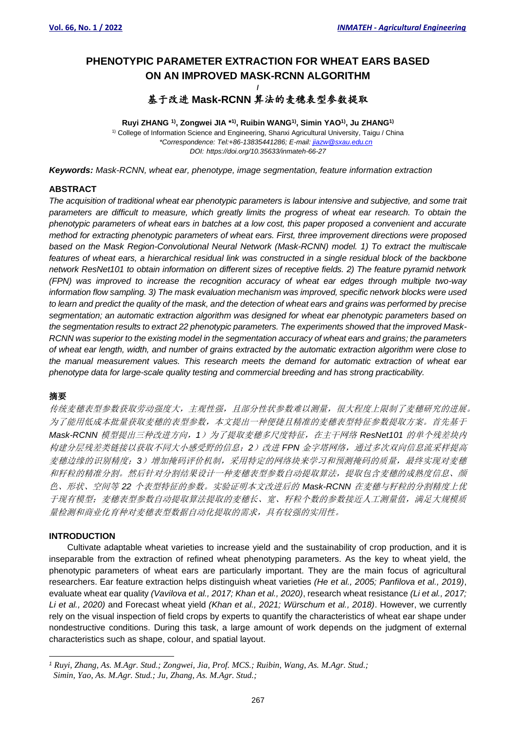# **PHENOTYPIC PARAMETER EXTRACTION FOR WHEAT EARS BASED ON AN IMPROVED MASK-RCNN ALGORITHM /** 基于改进 **Mask-RCNN** 算法的麦穗表型参数提取

### **Ruyi ZHANG 1) , Zongwei JIA \* 1) , Ruibin WANG1) , Simin YAO1) , Ju ZHANG1)**  $1)$  College of Information Science and Engineering, Shanxi Agricultural University, Taigu / China *\*Correspondence[: Tel:+86-13835441286;](tel:+86-13835441286) E-mail: [jiazw@sxau.edu.cn](mailto:jiazw@sxau.edu.cn) DOI: https://doi.org/10.35633/inmateh-66-27*

*Keywords: Mask-RCNN, wheat ear, phenotype, image segmentation, feature information extraction*

### **ABSTRACT**

*The acquisition of traditional wheat ear phenotypic parameters is labour intensive and subjective, and some trait parameters are difficult to measure, which greatly limits the progress of wheat ear research. To obtain the phenotypic parameters of wheat ears in batches at a low cost, this paper proposed a convenient and accurate method for extracting phenotypic parameters of wheat ears. First, three improvement directions were proposed based on the Mask Region-Convolutional Neural Network (Mask-RCNN) model. 1) To extract the multiscale features of wheat ears, a hierarchical residual link was constructed in a single residual block of the backbone network ResNet101 to obtain information on different sizes of receptive fields. 2) The feature pyramid network (FPN) was improved to increase the recognition accuracy of wheat ear edges through multiple two-way information flow sampling. 3) The mask evaluation mechanism was improved, specific network blocks were used to learn and predict the quality of the mask, and the detection of wheat ears and grains was performed by precise segmentation; an automatic extraction algorithm was designed for wheat ear phenotypic parameters based on the segmentation results to extract 22 phenotypic parameters. The experiments showed that the improved Mask-RCNN was superior to the existing model in the segmentation accuracy of wheat ears and grains; the parameters of wheat ear length, width, and number of grains extracted by the automatic extraction algorithm were close to the manual measurement values. This research meets the demand for automatic extraction of wheat ear phenotype data for large-scale quality testing and commercial breeding and has strong practicability.*

# 摘要

传统麦穗表型参数获取劳动强度大,主观性强,且部分性状参数难以测量,很大程度上限制了麦穗研究的进展。 为了能用低成本批量获取麦穗的表型参数,本文提出一种便捷且精准的麦穗表型特征参数提取方案。首先基于 *Mask-RCNN* 模型提出三种改进方向,*1*)为了提取麦穗多尺度特征,在主干网络 *ResNet101* 的单个残差块内 构建分层残差类链接以获取不同大小感受野的信息;*2*)改进 *FPN* 金字塔网络,通过多次双向信息流采样提高 麦穗边缘的识别精度;*3*)增加掩码评价机制,采用特定的网络块来学习和预测掩码的质量,最终实现对麦穗 和籽粒的精准分割。然后针对分割结果设计一种麦穗表型参数自动提取算法,提取包含麦穗的成熟度信息、颜 色、形状、空间等 *22* 个表型特征的参数。实验证明本文改进后的 *Mask-RCNN* 在麦穗与籽粒的分割精度上优 于现有模型;麦穗表型参数自动提取算法提取的麦穗长、宽、籽粒个数的参数接近人工测量值,满足大规模质 量检测和商业化育种对麦穗表型数据自动化提取的需求,具有较强的实用性。

# **INTRODUCTION**

Cultivate adaptable wheat varieties to increase yield and the sustainability of crop production, and it is inseparable from the extraction of refined wheat phenotyping parameters. As the key to wheat yield, the phenotypic parameters of wheat ears are particularly important. They are the main focus of agricultural researchers. Ear feature extraction helps distinguish wheat varieties *(He et al., 2005; Panfilova et al., 2019)*, evaluate wheat ear quality *(Vavilova et al., 2017; Khan et al., 2020)*, research wheat resistance *(Li et al., 2017; Li et al., 2020)* and Forecast wheat yield *(Khan et al., 2021; Würschum et al., 2018)*. However, we currently rely on the visual inspection of field crops by experts to quantify the characteristics of wheat ear shape under nondestructive conditions. During this task, a large amount of work depends on the judgment of external characteristics such as shape, colour, and spatial layout.

*<sup>1</sup> Ruyi, Zhang, As. M.Agr. Stud.; Zongwei, Jia, Prof. MCS.; Ruibin, Wang, As. M.Agr. Stud.; Simin, Yao, As. M.Agr. Stud.; Ju, Zhang, As. M.Agr. Stud.;*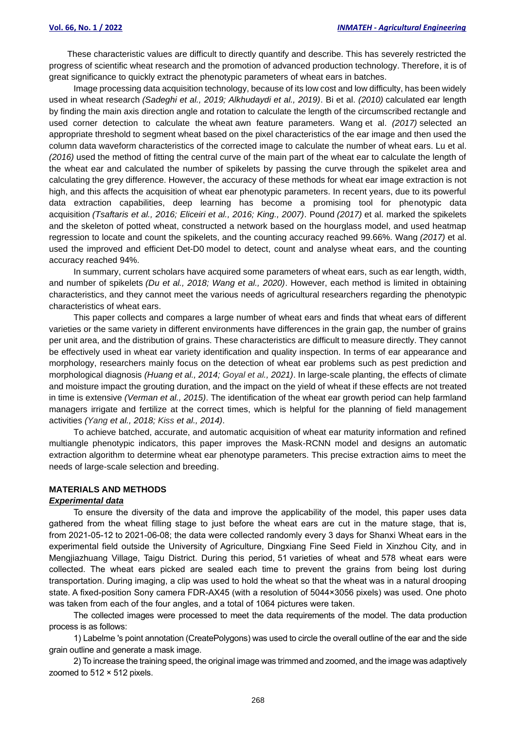These characteristic values are difficult to directly quantify and describe. This has severely restricted the progress of scientific wheat research and the promotion of advanced production technology. Therefore, it is of great significance to quickly extract the phenotypic parameters of wheat ears in batches.

Image processing data acquisition technology, because of its low cost and low difficulty, has been widely used in wheat research *(Sadeghi et al., 2019; Alkhudaydi et al., 2019)*. Bi et al. *(2010)* calculated ear length by finding the main axis direction angle and rotation to calculate the length of the circumscribed rectangle and used corner detection to calculate the wheat awn feature parameters. Wang et al. *(2017)* selected an appropriate threshold to segment wheat based on the pixel characteristics of the ear image and then used the column data waveform characteristics of the corrected image to calculate the number of wheat ears. Lu et al. *(2016)* used the method of fitting the central curve of the main part of the wheat ear to calculate the length of the wheat ear and calculated the number of spikelets by passing the curve through the spikelet area and calculating the grey difference. However, the accuracy of these methods for wheat ear image extraction is not high, and this affects the acquisition of wheat ear phenotypic parameters. In recent years, due to its powerful data extraction capabilities, deep learning has become a promising tool for phenotypic data acquisition *(Tsaftaris et al., 2016; Eliceiri et al., 2016; King., 2007)*. Pound *(2017)* et al. marked the spikelets and the skeleton of potted wheat, constructed a network based on the hourglass model, and used heatmap regression to locate and count the spikelets, and the counting accuracy reached 99.66%. Wang *(2017)* et al. used the improved and efficient Det-D0 model to detect, count and analyse wheat ears, and the counting accuracy reached 94%.

In summary, current scholars have acquired some parameters of wheat ears, such as ear length, width, and number of spikelets *(Du et al., 2018; Wang et al., 2020)*. However, each method is limited in obtaining characteristics, and they cannot meet the various needs of agricultural researchers regarding the phenotypic characteristics of wheat ears.

This paper collects and compares a large number of wheat ears and finds that wheat ears of different varieties or the same variety in different environments have differences in the grain gap, the number of grains per unit area, and the distribution of grains. These characteristics are difficult to measure directly. They cannot be effectively used in wheat ear variety identification and quality inspection. In terms of ear appearance and morphology, researchers mainly focus on the detection of wheat ear problems such as pest prediction and morphological diagnosis *(Huang et al., 2014; Goyal et al., 2021)*. In large-scale planting, the effects of climate and moisture impact the grouting duration, and the impact on the yield of wheat if these effects are not treated in time is extensive *(Verman et al., 2015)*. The identification of the wheat ear growth period can help farmland managers irrigate and fertilize at the correct times, which is helpful for the planning of field management activities *(Yang et al., 2018; Kiss et al., 2014)*.

To achieve batched, accurate, and automatic acquisition of wheat ear maturity information and refined multiangle phenotypic indicators, this paper improves the Mask-RCNN model and designs an automatic extraction algorithm to determine wheat ear phenotype parameters. This precise extraction aims to meet the needs of large-scale selection and breeding.

### **MATERIALS AND METHODS**

# *Experimental data*

To ensure the diversity of the data and improve the applicability of the model, this paper uses data gathered from the wheat filling stage to just before the wheat ears are cut in the mature stage, that is, from 2021-05-12 to 2021-06-08; the data were collected randomly every 3 days for Shanxi Wheat ears in the experimental field outside the University of Agriculture, Dingxiang Fine Seed Field in Xinzhou City, and in Mengjiazhuang Village, Taigu District. During this period, 51 varieties of wheat and 578 wheat ears were collected. The wheat ears picked are sealed each time to prevent the grains from being lost during transportation. During imaging, a clip was used to hold the wheat so that the wheat was in a natural drooping state. A fixed-position Sony camera FDR-AX45 (with a resolution of 5044×3056 pixels) was used. One photo was taken from each of the four angles, and a total of 1064 pictures were taken.

The collected images were processed to meet the data requirements of the model. The data production process is as follows:

1) Labelme 's point annotation (CreatePolygons) was used to circle the overall outline of the ear and the side grain outline and generate a mask image.

2) To increase the training speed, the original image was trimmed and zoomed, and the image was adaptively zoomed to 512 × 512 pixels.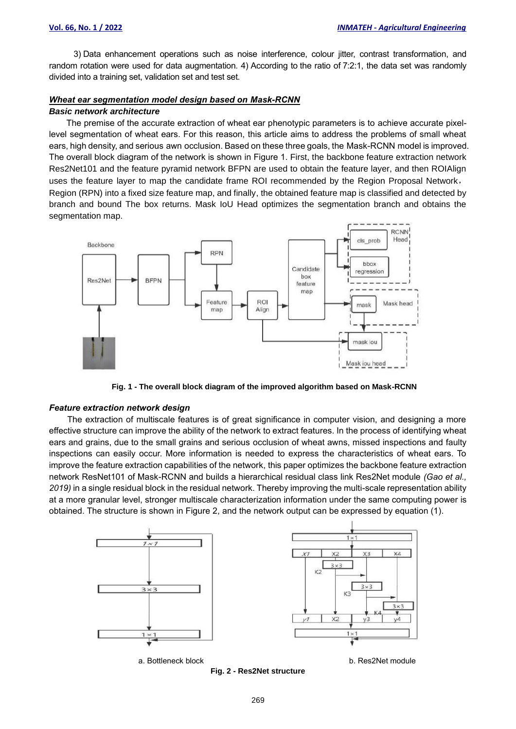3) Data enhancement operations such as noise interference, colour jitter, contrast transformation, and random rotation were used for data augmentation. 4) According to the ratio of 7:2:1, the data set was randomly divided into a training set, validation set and test set.

# *Wheat ear segmentation model design based on Mask-RCNN*

#### *Basic network architecture*

The premise of the accurate extraction of wheat ear phenotypic parameters is to achieve accurate pixellevel segmentation of wheat ears. For this reason, this article aims to address the problems of small wheat ears, high density, and serious awn occlusion. Based on these three goals, the Mask-RCNN model is improved. The overall block diagram of the network is shown in Figure 1. First, the backbone feature extraction network Res2Net101 and the feature pyramid network BFPN are used to obtain the feature layer, and then ROIAlign uses the feature layer to map the candidate frame ROI recommended by the Region Proposal Network, Region (RPN) into a fixed size feature map, and finally, the obtained feature map is classified and detected by branch and bound The box returns. Mask IoU Head optimizes the segmentation branch and obtains the segmentation map.



**Fig. 1 - The overall block diagram of the improved algorithm based on Mask-RCNN**

#### *Feature extraction network design*

The extraction of multiscale features is of great significance in computer vision, and designing a more effective structure can improve the ability of the network to extract features. In the process of identifying wheat ears and grains, due to the small grains and serious occlusion of wheat awns, missed inspections and faulty inspections can easily occur. More information is needed to express the characteristics of wheat ears. To improve the feature extraction capabilities of the network, this paper optimizes the backbone feature extraction network ResNet101 of Mask-RCNN and builds a hierarchical residual class link Res2Net module *(Gao et al., 2019)* in a single residual block in the residual network. Thereby improving the multi-scale representation ability at a more granular level, stronger multiscale characterization information under the same computing power is obtained. The structure is shown in Figure 2, and the network output can be expressed by equation (1).



**Fig. 2 - Res2Net structure**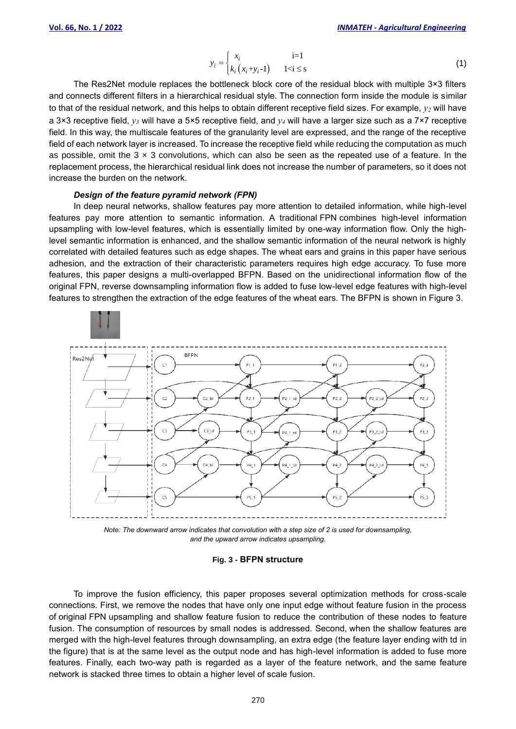$$
= \begin{cases} x_i & i=1\\ k_i(x_i+y_i-1) & 1 < i \leq s \end{cases}
$$
 (1)

The Res2Net module replaces the bottleneck block core of the residual block with multiple 3×3 filters and connects different filters in a hierarchical residual style. The connection form inside the module is similar to that of the residual network, and this helps to obtain different receptive field sizes. For example, *y<sup>2</sup>* will have a 3×3 receptive field, *y<sup>3</sup>* will have a 5×5 receptive field, and *y<sup>4</sup>* will have a larger size such as a 7×7 receptive field. In this way, the multiscale features of the granularity level are expressed, and the range of the receptive field of each network layer is increased. To increase the receptive field while reducing the computation as much as possible, omit the  $3 \times 3$  convolutions, which can also be seen as the repeated use of a feature. In the replacement process, the hierarchical residual link does not increase the number of parameters, so it does not increase the burden on the network.

*i y*

# *Design of the feature pyramid network (FPN)*

In deep neural networks, shallow features pay more attention to detailed information, while high-level features pay more attention to semantic information. A traditional FPN combines high-level information upsampling with low-level features, which is essentially limited by one-way information flow. Only the highlevel semantic information is enhanced, and the shallow semantic information of the neural network is highly correlated with detailed features such as edge shapes. The wheat ears and grains in this paper have serious adhesion, and the extraction of their characteristic parameters requires high edge accuracy. To fuse more features, this paper designs a multi-overlapped BFPN. Based on the unidirectional information flow of the original FPN, reverse downsampling information flow is added to fuse low-level edge features with high-level features to strengthen the extraction of the edge features of the wheat ears. The BFPN is shown in Figure 3.



*Note: The downward arrow indicates that convolution with a step size of 2 is used for downsampling, and the upward arrow indicates upsampling.*

#### **Fig. 3 - BFPN structure**

To improve the fusion efficiency, this paper proposes several optimization methods for cross-scale connections. First, we remove the nodes that have only one input edge without feature fusion in the process of original FPN upsampling and shallow feature fusion to reduce the contribution of these nodes to feature fusion. The consumption of resources by small nodes is addressed. Second, when the shallow features are merged with the high-level features through downsampling, an extra edge (the feature layer ending with td in the figure) that is at the same level as the output node and has high-level information is added to fuse more features. Finally, each two-way path is regarded as a layer of the feature network, and the same feature network is stacked three times to obtain a higher level of scale fusion.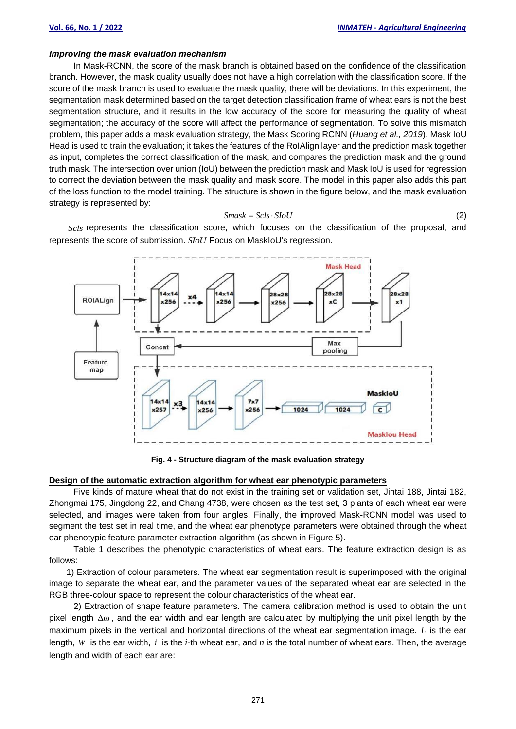#### *Improving the mask evaluation mechanism*

In Mask-RCNN, the score of the mask branch is obtained based on the confidence of the classification branch. However, the mask quality usually does not have a high correlation with the classification score. If the score of the mask branch is used to evaluate the mask quality, there will be deviations. In this experiment, the segmentation mask determined based on the target detection classification frame of wheat ears is not the best segmentation structure, and it results in the low accuracy of the score for measuring the quality of wheat segmentation; the accuracy of the score will affect the performance of segmentation. To solve this mismatch problem, this paper adds a mask evaluation strategy, the Mask Scoring RCNN (*Huang et al., 2019*). Mask IoU Head is used to train the evaluation; it takes the features of the RoIAlign layer and the prediction mask together as input, completes the correct classification of the mask, and compares the prediction mask and the ground truth mask. The intersection over union (IoU) between the prediction mask and Mask IoU is used for regression to correct the deviation between the mask quality and mask score. The model in this paper also adds this part of the loss function to the model training. The structure is shown in the figure below, and the mask evaluation strategy is represented by:

$$
Smask = Scls \cdot SIoU
$$
\n<sup>(2)</sup>

*Scls* represents the classification score, which focuses on the classification of the proposal, and represents the score of submission. *SIoU* Focus on MaskIoU's regression.



**Fig. 4 - Structure diagram of the mask evaluation strategy**

#### **Design of the automatic extraction algorithm for wheat ear phenotypic parameters**

Five kinds of mature wheat that do not exist in the training set or validation set, Jintai 188, Jintai 182, Zhongmai 175, Jingdong 22, and Chang 4738, were chosen as the test set, 3 plants of each wheat ear were selected, and images were taken from four angles. Finally, the improved Mask-RCNN model was used to segment the test set in real time, and the wheat ear phenotype parameters were obtained through the wheat ear phenotypic feature parameter extraction algorithm (as shown in Figure 5).

Table 1 describes the phenotypic characteristics of wheat ears. The feature extraction design is as follows:

1) Extraction of colour parameters. The wheat ear segmentation result is superimposed with the original image to separate the wheat ear, and the parameter values of the separated wheat ear are selected in the RGB three-colour space to represent the colour characteristics of the wheat ear.

2) Extraction of shape feature parameters. The camera calibration method is used to obtain the unit pixel length Δω, and the ear width and ear length are calculated by multiplying the unit pixel length by the maximum pixels in the vertical and horizontal directions of the wheat ear segmentation image.  $L$  is the ear length,  $W$  is the ear width,  $i$  is the  $i$ -th wheat ear, and  $n$  is the total number of wheat ears. Then, the average length and width of each ear are: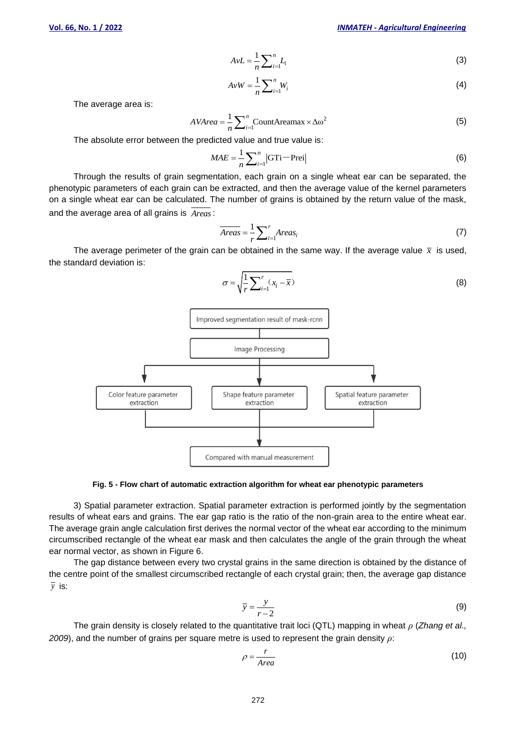$$
AvL = \frac{1}{n} \sum_{i=1}^{n} L_i
$$
 (3)

$$
AvW = \frac{1}{n} \sum_{i=1}^{n} W_i
$$
 (4)

The average area is:

$$
AVArea = \frac{1}{n} \sum_{i=1}^{n} \text{CountAreamax} \times \Delta \omega^2
$$
 (5)

The absolute error between the predicted value and true value is:

$$
MAE = \frac{1}{n} \sum_{i=1}^{n} |GT_i - Prei|
$$
 (6)

Through the results of grain segmentation, each grain on a single wheat ear can be separated, the phenotypic parameters of each grain can be extracted, and then the average value of the kernel parameters on a single wheat ear can be calculated. The number of grains is obtained by the return value of the mask, and the average area of all grains is *Areas* :

$$
\overline{Areas} = \frac{1}{r} \sum_{i=1}^{r} Areas_i \tag{7}
$$

The average perimeter of the grain can be obtained in the same way. If the average value  $\bar{x}$  is used, the standard deviation is:

$$
\sigma = \sqrt{\frac{1}{r} \sum_{i=1}^{r} (x_i - \overline{x})}
$$
\n(8)



#### **Fig. 5 - Flow chart of automatic extraction algorithm for wheat ear phenotypic parameters**

3) Spatial parameter extraction. Spatial parameter extraction is performed jointly by the segmentation results of wheat ears and grains. The ear gap ratio is the ratio of the non-grain area to the entire wheat ear. The average grain angle calculation first derives the normal vector of the wheat ear according to the minimum circumscribed rectangle of the wheat ear mask and then calculates the angle of the grain through the wheat ear normal vector, as shown in Figure 6.

The gap distance between every two crystal grains in the same direction is obtained by the distance of the centre point of the smallest circumscribed rectangle of each crystal grain; then, the average gap distance  $\bar{y}$  is:

$$
\overline{y} = \frac{y}{r - 2} \tag{9}
$$

The grain density is closely related to the quantitative trait loci (QTL) mapping in wheat *ρ* (*Zhang et al., 2009*), and the number of grains per square metre is used to represent the grain density *ρ*:

$$
\rho = \frac{r}{Area} \tag{10}
$$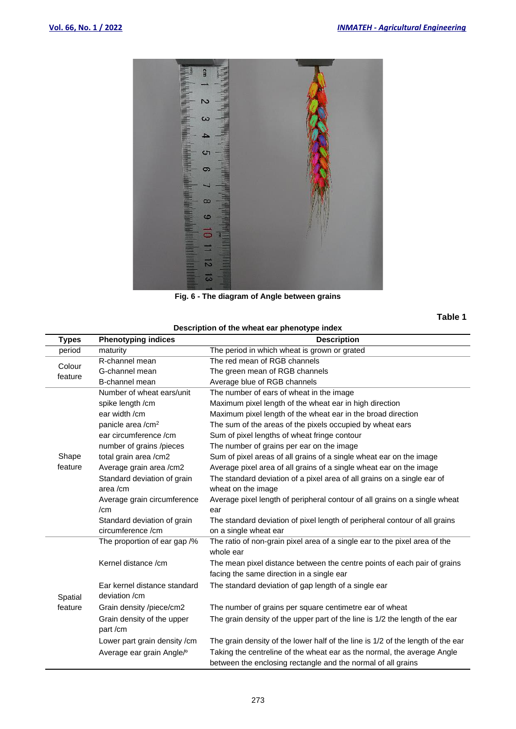

**Fig. 6 - The diagram of Angle between grains**

**Table 1**

| Description of the wheat ear phenotype index |                                       |                                                                                                                                         |  |  |  |
|----------------------------------------------|---------------------------------------|-----------------------------------------------------------------------------------------------------------------------------------------|--|--|--|
| <b>Types</b>                                 | <b>Phenotyping indices</b>            | <b>Description</b>                                                                                                                      |  |  |  |
| period                                       | maturity                              | The period in which wheat is grown or grated                                                                                            |  |  |  |
| Colour                                       | R-channel mean                        | The red mean of RGB channels                                                                                                            |  |  |  |
| feature                                      | G-channel mean                        | The green mean of RGB channels                                                                                                          |  |  |  |
|                                              | B-channel mean                        | Average blue of RGB channels                                                                                                            |  |  |  |
|                                              | Number of wheat ears/unit             | The number of ears of wheat in the image                                                                                                |  |  |  |
|                                              | spike length /cm                      | Maximum pixel length of the wheat ear in high direction                                                                                 |  |  |  |
|                                              | ear width /cm                         | Maximum pixel length of the wheat ear in the broad direction                                                                            |  |  |  |
|                                              | panicle area / cm <sup>2</sup>        | The sum of the areas of the pixels occupied by wheat ears                                                                               |  |  |  |
|                                              | ear circumference /cm                 | Sum of pixel lengths of wheat fringe contour                                                                                            |  |  |  |
|                                              | number of grains /pieces              | The number of grains per ear on the image                                                                                               |  |  |  |
| Shape                                        | total grain area / cm2                | Sum of pixel areas of all grains of a single wheat ear on the image                                                                     |  |  |  |
| feature                                      | Average grain area /cm2               | Average pixel area of all grains of a single wheat ear on the image                                                                     |  |  |  |
|                                              | Standard deviation of grain           | The standard deviation of a pixel area of all grains on a single ear of                                                                 |  |  |  |
|                                              | area/cm                               | wheat on the image                                                                                                                      |  |  |  |
|                                              | Average grain circumference           | Average pixel length of peripheral contour of all grains on a single wheat                                                              |  |  |  |
|                                              | /cm                                   | ear                                                                                                                                     |  |  |  |
|                                              | Standard deviation of grain           | The standard deviation of pixel length of peripheral contour of all grains                                                              |  |  |  |
|                                              | circumference /cm                     | on a single wheat ear                                                                                                                   |  |  |  |
|                                              | The proportion of ear gap /%          | The ratio of non-grain pixel area of a single ear to the pixel area of the<br>whole ear                                                 |  |  |  |
|                                              | Kernel distance /cm                   | The mean pixel distance between the centre points of each pair of grains                                                                |  |  |  |
|                                              |                                       | facing the same direction in a single ear                                                                                               |  |  |  |
|                                              | Ear kernel distance standard          | The standard deviation of gap length of a single ear                                                                                    |  |  |  |
| Spatial                                      | deviation /cm                         |                                                                                                                                         |  |  |  |
| feature                                      | Grain density /piece/cm2              | The number of grains per square centimetre ear of wheat                                                                                 |  |  |  |
|                                              | Grain density of the upper<br>part/cm | The grain density of the upper part of the line is 1/2 the length of the ear                                                            |  |  |  |
|                                              | Lower part grain density / cm         | The grain density of the lower half of the line is 1/2 of the length of the ear                                                         |  |  |  |
|                                              | Average ear grain Angle/ <sup>o</sup> | Taking the centreline of the wheat ear as the normal, the average Angle<br>between the enclosing rectangle and the normal of all grains |  |  |  |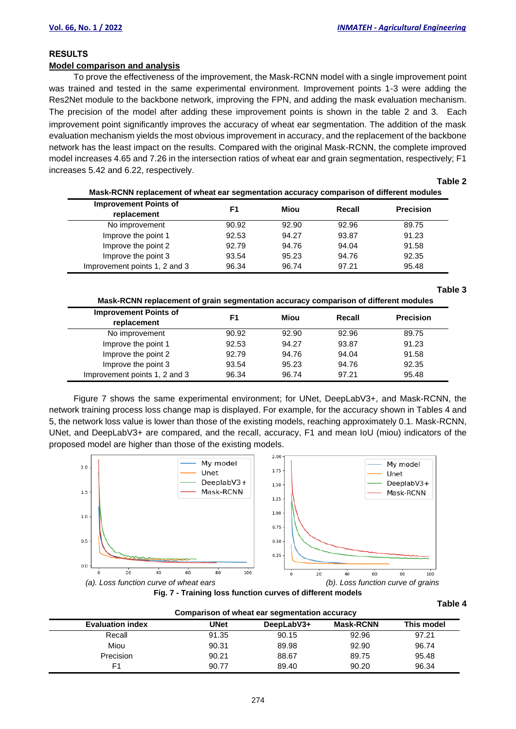# **RESULTS**

# **Model comparison and analysis**

To prove the effectiveness of the improvement, the Mask-RCNN model with a single improvement point was trained and tested in the same experimental environment. Improvement points 1-3 were adding the Res2Net module to the backbone network, improving the FPN, and adding the mask evaluation mechanism. The precision of the model after adding these improvement points is shown in the table 2 and 3. Each improvement point significantly improves the accuracy of wheat ear segmentation. The addition of the mask evaluation mechanism yields the most obvious improvement in accuracy, and the replacement of the backbone network has the least impact on the results. Compared with the original Mask-RCNN, the complete improved model increases 4.65 and 7.26 in the intersection ratios of wheat ear and grain segmentation, respectively; F1 increases 5.42 and 6.22, respectively.

**Table 2**

| Mask-RCNN replacement of wheat ear segmentation accuracy comparison of different modules |       |       |        |                  |  |
|------------------------------------------------------------------------------------------|-------|-------|--------|------------------|--|
| <b>Improvement Points of</b>                                                             | F1    | Miou  | Recall | <b>Precision</b> |  |
| replacement                                                                              |       |       |        |                  |  |
| No improvement                                                                           | 90.92 | 92.90 | 92.96  | 89.75            |  |
| Improve the point 1                                                                      | 92.53 | 94.27 | 93.87  | 91.23            |  |
| Improve the point 2                                                                      | 92.79 | 94.76 | 94.04  | 91.58            |  |
| Improve the point 3                                                                      | 93.54 | 95.23 | 94.76  | 92.35            |  |
| Improvement points 1, 2 and 3                                                            | 96.34 | 96.74 | 97.21  | 95.48            |  |

### **Table 3**

**Mask-RCNN replacement of grain segmentation accuracy comparison of different modules** 

| <b>Improvement Points of</b><br>replacement | F1    | Miou  | Recall | <b>Precision</b> |
|---------------------------------------------|-------|-------|--------|------------------|
| No improvement                              | 90.92 | 92.90 | 92.96  | 89.75            |
| Improve the point 1                         | 92.53 | 94.27 | 93.87  | 91.23            |
| Improve the point 2                         | 92.79 | 94.76 | 94.04  | 91.58            |
| Improve the point 3                         | 93.54 | 95.23 | 94.76  | 92.35            |
| Improvement points 1, 2 and 3               | 96.34 | 96.74 | 97.21  | 95.48            |

Figure 7 shows the same experimental environment; for UNet, DeepLabV3+, and Mask-RCNN, the network training process loss change map is displayed. For example, for the accuracy shown in Tables 4 and 5, the network loss value is lower than those of the existing models, reaching approximately 0.1. Mask-RCNN, UNet, and DeepLabV3+ are compared, and the recall, accuracy, F1 and mean IoU (miou) indicators of the proposed model are higher than those of the existing models.





**Comparison of wheat ear segmentation accuracy**

### **Table 4**

| Companson of wheat ear sequientation accuracy |       |            |                  |            |  |  |  |
|-----------------------------------------------|-------|------------|------------------|------------|--|--|--|
| <b>Evaluation index</b>                       | UNet  | DeepLabV3+ | <b>Mask-RCNN</b> | This model |  |  |  |
| Recall                                        | 91.35 | 90.15      | 92.96            | 97.21      |  |  |  |
| Miou                                          | 90.31 | 89.98      | 92.90            | 96.74      |  |  |  |
| Precision                                     | 90.21 | 88.67      | 89.75            | 95.48      |  |  |  |
| F <sub>1</sub>                                | 90.77 | 89.40      | 90.20            | 96.34      |  |  |  |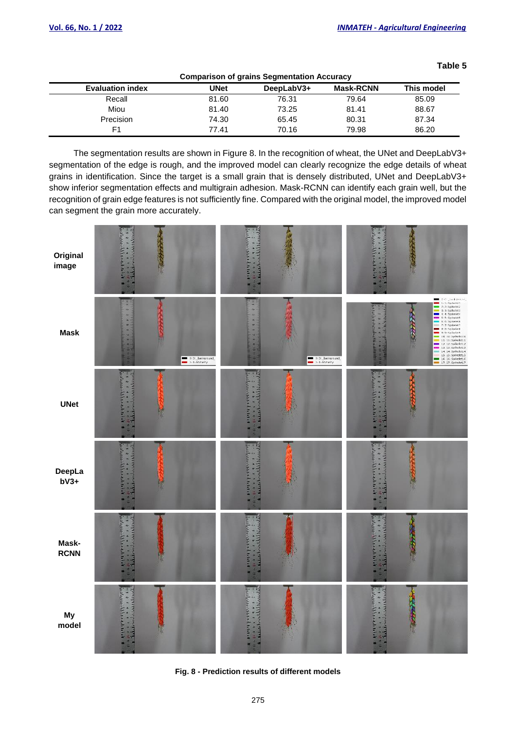**Table 5** 

| Comparison of grains Segmentation Accuracy |             |            |                  |            |  |  |  |
|--------------------------------------------|-------------|------------|------------------|------------|--|--|--|
| <b>Evaluation index</b>                    | <b>UNet</b> | DeepLabV3+ | <b>Mask-RCNN</b> | This model |  |  |  |
| Recall                                     | 81.60       | 76.31      | 79.64            | 85.09      |  |  |  |
| Miou                                       | 81.40       | 73.25      | 81.41            | 88.67      |  |  |  |
| <b>Precision</b>                           | 74.30       | 65.45      | 80.31            | 87.34      |  |  |  |
| F1                                         | 77.41       | 70.16      | 79.98            | 86.20      |  |  |  |

**Comparison of grains Segmentation Accuracy**

The segmentation results are shown in Figure 8. In the recognition of wheat, the UNet and DeepLabV3+ segmentation of the edge is rough, and the improved model can clearly recognize the edge details of wheat grains in identification. Since the target is a small grain that is densely distributed, UNet and DeepLabV3+ show inferior segmentation effects and multigrain adhesion. Mask-RCNN can identify each grain well, but the recognition of grain edge features is not sufficiently fine. Compared with the original model, the improved model can segment the grain more accurately.



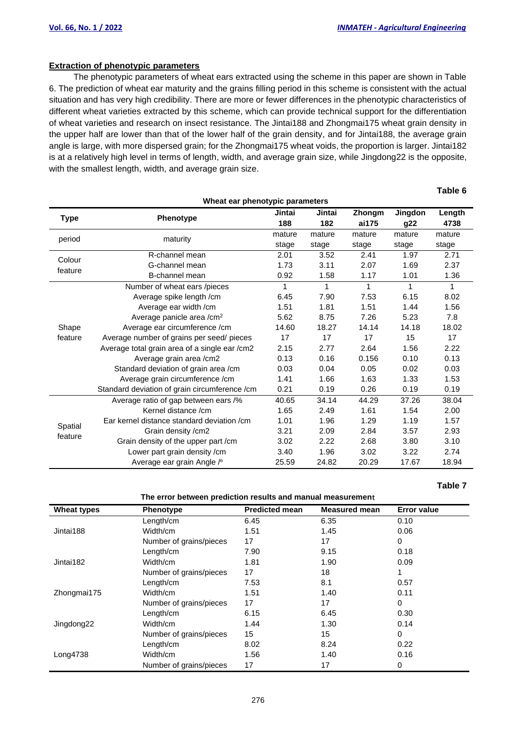# **Extraction of phenotypic parameters**

The phenotypic parameters of wheat ears extracted using the scheme in this paper are shown in Table 6. The prediction of wheat ear maturity and the grains filling period in this scheme is consistent with the actual situation and has very high credibility. There are more or fewer differences in the phenotypic characteristics of different wheat varieties extracted by this scheme, which can provide technical support for the differentiation of wheat varieties and research on insect resistance. The Jintai188 and Zhongmai175 wheat grain density in the upper half are lower than that of the lower half of the grain density, and for Jintai188, the average grain angle is large, with more dispersed grain; for the Zhongmai175 wheat voids, the proportion is larger. Jintai182 is at a relatively high level in terms of length, width, and average grain size, while Jingdong22 is the opposite, with the smallest length, width, and average grain size.

| Wheat ear phenotypic parameters |                                               |               |               |                 |                |                |
|---------------------------------|-----------------------------------------------|---------------|---------------|-----------------|----------------|----------------|
| Type                            | Phenotype                                     | Jintai<br>188 | Jintai<br>182 | Zhongm<br>ai175 | Jingdon<br>g22 | Length<br>4738 |
| period                          | maturity                                      | mature        | mature        | mature          | mature         | mature         |
|                                 |                                               | stage         | stage         | stage           | stage          | stage          |
| Colour                          | R-channel mean                                | 2.01          | 3.52          | 2.41            | 1.97           | 2.71           |
| feature                         | G-channel mean                                | 1.73          | 3.11          | 2.07            | 1.69           | 2.37           |
|                                 | B-channel mean                                | 0.92          | 1.58          | 1.17            | 1.01           | 1.36           |
|                                 | Number of wheat ears /pieces                  | 1             | $\mathbf{1}$  | 1               | 1              | $\mathbf{1}$   |
|                                 | Average spike length /cm                      | 6.45          | 7.90          | 7.53            | 6.15           | 8.02           |
|                                 | Average ear width / cm                        | 1.51          | 1.81          | 1.51            | 1.44           | 1.56           |
|                                 | Average panicle area / cm <sup>2</sup>        | 5.62          | 8.75          | 7.26            | 5.23           | 7.8            |
| Shape                           | Average ear circumference /cm                 | 14.60         | 18.27         | 14.14           | 14.18          | 18.02          |
| feature                         | Average number of grains per seed/ pieces     | 17            | 17            | 17              | 15             | 17             |
|                                 | Average total grain area of a single ear /cm2 | 2.15          | 2.77          | 2.64            | 1.56           | 2.22           |
|                                 | Average grain area / cm2                      | 0.13          | 0.16          | 0.156           | 0.10           | 0.13           |
|                                 | Standard deviation of grain area /cm          | 0.03          | 0.04          | 0.05            | 0.02           | 0.03           |
|                                 | Average grain circumference /cm               | 1.41          | 1.66          | 1.63            | 1.33           | 1.53           |
|                                 | Standard deviation of grain circumference /cm | 0.21          | 0.19          | 0.26            | 0.19           | 0.19           |
|                                 | Average ratio of gap between ears /%          | 40.65         | 34.14         | 44.29           | 37.26          | 38.04          |
|                                 | Kernel distance /cm                           | 1.65          | 2.49          | 1.61            | 1.54           | 2.00           |
|                                 | Ear kernel distance standard deviation /cm    | 1.01          | 1.96          | 1.29            | 1.19           | 1.57           |
| Spatial                         | Grain density / cm2                           | 3.21          | 2.09          | 2.84            | 3.57           | 2.93           |
| feature                         | Grain density of the upper part /cm           | 3.02          | 2.22          | 2.68            | 3.80           | 3.10           |
|                                 | Lower part grain density / cm                 | 3.40          | 1.96          | 3.02            | 3.22           | 2.74           |
|                                 | Average ear grain Angle / 0                   | 25.59         | 24.82         | 20.29           | 17.67          | 18.94          |

### **Table 7**

 **Table 6**

| <b>Wheat types</b> | Phenotype               | <b>Predicted mean</b> | <b>Measured mean</b> | <b>Error value</b> |
|--------------------|-------------------------|-----------------------|----------------------|--------------------|
|                    | Length/cm               | 6.45                  | 6.35                 | 0.10               |
| Jintai188          | Width/cm                | 1.51                  | 1.45                 | 0.06               |
|                    | Number of grains/pieces | 17                    | 17                   | 0                  |
|                    | Length/cm               | 7.90                  | 9.15                 | 0.18               |
| Jintai182          | Width/cm                | 1.81                  | 1.90                 | 0.09               |
|                    | Number of grains/pieces | 17                    | 18                   |                    |
|                    | Length/cm               | 7.53                  | 8.1                  | 0.57               |
| Zhongmai175        | Width/cm                | 1.51                  | 1.40                 | 0.11               |
|                    | Number of grains/pieces | 17                    | 17                   | 0                  |
|                    | Length/cm               | 6.15                  | 6.45                 | 0.30               |
| Jingdong22         | Width/cm                | 1.44                  | 1.30                 | 0.14               |
|                    | Number of grains/pieces | 15                    | 15                   | 0                  |
|                    | Length/cm               | 8.02                  | 8.24                 | 0.22               |
| Long4738           | Width/cm                | 1.56                  | 1.40                 | 0.16               |
|                    | Number of grains/pieces | 17                    | 17                   | 0                  |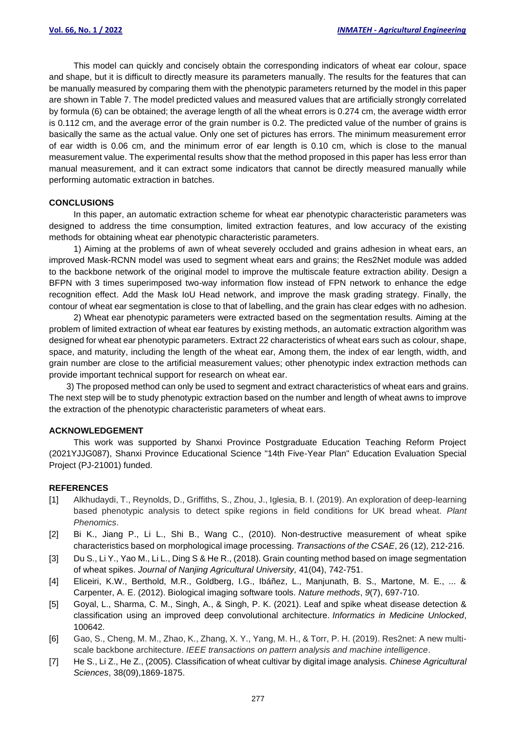This model can quickly and concisely obtain the corresponding indicators of wheat ear colour, space and shape, but it is difficult to directly measure its parameters manually. The results for the features that can be manually measured by comparing them with the phenotypic parameters returned by the model in this paper are shown in Table 7. The model predicted values and measured values that are artificially strongly correlated by formula (6) can be obtained; the average length of all the wheat errors is 0.274 cm, the average width error is 0.112 cm, and the average error of the grain number is 0.2. The predicted value of the number of grains is basically the same as the actual value. Only one set of pictures has errors. The minimum measurement error of ear width is 0.06 cm, and the minimum error of ear length is 0.10 cm, which is close to the manual measurement value. The experimental results show that the method proposed in this paper has less error than manual measurement, and it can extract some indicators that cannot be directly measured manually while performing automatic extraction in batches.

### **CONCLUSIONS**

In this paper, an automatic extraction scheme for wheat ear phenotypic characteristic parameters was designed to address the time consumption, limited extraction features, and low accuracy of the existing methods for obtaining wheat ear phenotypic characteristic parameters.

1) Aiming at the problems of awn of wheat severely occluded and grains adhesion in wheat ears, an improved Mask-RCNN model was used to segment wheat ears and grains; the Res2Net module was added to the backbone network of the original model to improve the multiscale feature extraction ability. Design a BFPN with 3 times superimposed two-way information flow instead of FPN network to enhance the edge recognition effect. Add the Mask IoU Head network, and improve the mask grading strategy. Finally, the contour of wheat ear segmentation is close to that of labelling, and the grain has clear edges with no adhesion.

2) Wheat ear phenotypic parameters were extracted based on the segmentation results. Aiming at the problem of limited extraction of wheat ear features by existing methods, an automatic extraction algorithm was designed for wheat ear phenotypic parameters. Extract 22 characteristics of wheat ears such as colour, shape, space, and maturity, including the length of the wheat ear, Among them, the index of ear length, width, and grain number are close to the artificial measurement values; other phenotypic index extraction methods can provide important technical support for research on wheat ear.

3) The proposed method can only be used to segment and extract characteristics of wheat ears and grains. The next step will be to study phenotypic extraction based on the number and length of wheat awns to improve the extraction of the phenotypic characteristic parameters of wheat ears.

### **ACKNOWLEDGEMENT**

This work was supported by Shanxi Province Postgraduate Education Teaching Reform Project (2021YJJG087), Shanxi Province Educational Science "14th Five-Year Plan" Education Evaluation Special Project (PJ-21001) funded.

### **REFERENCES**

- [1] Alkhudaydi, T., Reynolds, D., Griffiths, S., Zhou, J., Iglesia, B. I. (2019). An exploration of deep-learning based phenotypic analysis to detect spike regions in field conditions for UK bread wheat. *Plant Phenomics*.
- [2] Bi K., Jiang P., Li L., Shi B., Wang C., (2010). Non-destructive measurement of wheat spike characteristics based on morphological image processing. *Transactions of the CSAE*, 26 (12), 212-216.
- [3] Du S., Li Y., Yao M., Li L., Ding S & He R., (2018). Grain counting method based on image segmentation of wheat spikes. *Journal of Nanjing Agricultural University,* 41(04), 742-751.
- [4] Eliceiri, K.W., Berthold, M.R., Goldberg, I.G., Ibáñez, L., Manjunath, B. S., Martone, M. E., ... & Carpenter, A. E. (2012). Biological imaging software tools. *Nature methods*, *9*(7), 697-710.
- [5] Goyal, L., Sharma, C. M., Singh, A., & Singh, P. K. (2021). Leaf and spike wheat disease detection & classification using an improved deep convolutional architecture. *Informatics in Medicine Unlocked*, 100642.
- [6] Gao, S., Cheng, M. M., Zhao, K., Zhang, X. Y., Yang, M. H., & Torr, P. H. (2019). Res2net: A new multiscale backbone architecture. *IEEE transactions on pattern analysis and machine intelligence*.
- [7] He S., Li Z., He Z., (2005). Classification of wheat cultivar by digital image analysis. *Chinese Agricultural Sciences*, 38(09),1869-1875.